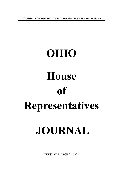**JOURNALS OF THE SENATE AND HOUSE OF REPRESENTATIVES**

# **OHIO House of Representatives JOURNAL**

TUESDAY, MARCH 22, 2022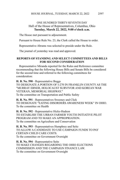# ONE HUNDRED THIRTY-SEVENTH DAY Hall of the House of Representatives, Columbus, Ohio **Tuesday, March 22, 2022, 9:00 o'clock a.m.**

The House met pursuant to adjournment.

Pursuant to House Rule No. 23, the Clerk called the House to order.

Representative Abrams was selected to preside under the Rule.

The journal of yesterday was read and approved.

#### **REPORTS OF STANDING AND SELECT COMMITTEES AND BILLS FOR SECOND CONSIDERATION**

Representative Miranda reported for the Rules and Reference committee recommending that the following House Bills and Senate Bills be considered for the second time and referred to the following committees for consideration:

**H. B. No. 590** - Representative Boggs TO DESIGNATE A PORTION OF I-270 IN FRANKLIN COUNTY AS THE "MURRAY EBNER, HOLOCAUST SURVIVOR AND KOREAN WAR VETERAN, MEMORIAL HIGHWAY." To the committee on Transportation and Public Safety

**H. B. No. 591** - Representatives Sweeney and Click TO DESIGNATE "EATING DISORDERS AWARENESS WEEK" IN OHIO. To the committee on Health

**H. B. No. 592** - Representative Hicks-Hudson TO ESTABLISH THE URBAN FARMER YOUTH INITIATIVE PILOT PROGRAM AND TO MAKE AN APPROPRIATION. To the committee on Agriculture and Conservation

**H. B. No. 593** - Representatives Humphrey and Seitz TO ALLOW A CANDIDATE TO USE CAMPAIGN FUNDS TO PAY CERTAIN CHILD CARE COSTS. To the committee on Government Oversight

**H. B. No. 594** - Representative Seitz TO MAKE CHANGES REGARDING THE OHIO ELECTIONS COMMISSION AND THE CAMPAIGN FINANCE LAW. To the committee on Government Oversight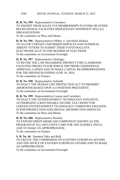**H. B. No. 595** - Representative Carruthers TO EXEMPT FROM SALES TAX MEMBERSHIPS TO GYMS OR OTHER RECREATIONAL FACILITIES OPERATED BY NONPROFIT 501(C)(3) ORGANIZATIONS.

To the committee on Ways and Means

**H. B. No. 596** - Representatives Miller, A. and Hicks-Hudson TO ALLOW CERTAIN UNIFORMED SERVICES AND OVERSEAS ABSENT VOTERS TO SUBMIT THEIR VOTED BALLOTS ELECTRONICALLY TO THE BOARDS OF ELECTIONS. To the committee on Government Oversight

**H. B. No. 597** - Representative Oelslager TO REVISE THE LAW REGARDING PRIORITY FOR CLASSROOM FACILITIES PROJECTS FOR WHICH THE PRIOR CONDITIONAL APPROVAL LAPSED AND TO MAKE CAPITAL REAPPROPRIATIONS FOR THE BIENNIUM ENDING JUNE 30, 2024. To the committee on Finance

**H. B. No. 598** - Representative Schmidt TO ENACT THE HUMAN LIFE PROTECTION ACT TO PROHIBIT ABORTIONS BASED UPON A CONDITION PRECEDENT. To the committee on Government Oversight

**H. B. No. 599** - Representatives Lanese and Carruthers TO ENACT THE ENTERTAINMENT TECHNOLOGY INITIATIVE, AUTHORIZING A REFUNDABLE INCOME TAX CREDIT FOR CERTAIN ENTERTAINMENT TECHNOLOGY COMPANIES ENGAGED IN POSTPRODUCTION AND DIGITAL DISTRIBUTION SERVICES. To the committee on Ways and Means

**H. B. No. 600** - Representative Roemer TO EXPAND OHIO'S MEDICAID COMPONENT KNOWN AS THE PROGRAM OF ALL-INCLUSIVE CARE FOR THE ELDERLY (PACE) AND TO MAKE AN APPROPRIATION. To the committee on Finance

**S. B. No. 46** - Senators Yuko and Rulli TO CREATE THE COMMISSION ON EASTERN EUROPEAN AFFAIRS AND THE OFFICE OF EASTERN EUROPEAN AFFAIRS AND TO MAKE AN APPROPRIATION.

To the committee on Government Oversight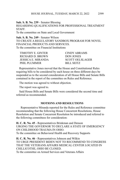**Sub. S. B. No. 239** - Senator Blessing REGARDING QUALIFICATIONS FOR PROFESSIONAL TREATMENT **STAFF** To the committee on State and Local Government

**Sub. S. B. No. 249** - Senator Wilson TO CREATE A REGULATORY SANDBOX PROGRAM FOR NOVEL FINANCIAL PRODUCTS AND SERVICES. To the committee on Financial Institutions

| CINDY ABRAMS           |
|------------------------|
| <b>DON JONES</b>       |
| <b>SCOTT OELSLAGER</b> |
| <b>BILL SEITZ</b>      |
|                        |

Representative Jones moved that the House and Constitutional Rules requiring bills to be considered by each house on three different days be suspended as to the second consideration of all House Bills and Senate Bills contained in the report of the committee on Rules and Reference.

The motion was agreed to without objection.

The report was agreed to.

Said House Bills and Senate Bills were considered the second time and referred as recommended.

# **MOTIONS AND RESOLUTIONS**

 Representative Miranda reported for the Rules and Reference committee recommending that the following House Concurrent Resolutions, House Resolution and Senate Concurrent Resolution be introduced and referred to the following committees for consideration:

**H. C. R. No. 45** - Representatives Brinkman and Denson URGING THE GOVERNOR TO DECLARE A STATE OF EMERGENCY ON CHILDHOOD TRAUMA IN OHIO. To the committee on Behavioral Health and Recovery Supports

**H. C. R. No. 46** - Representatives Johnson and Wilkin TO URGE PRESIDENT BIDEN NOT TO RECOMMEND TO CONGRESS THAT THE VETERANS AFFAIRS MEDICAL CENTER LOCATED IN CHILLICOTHE, OHIO BE CLOSED. To the committee on Armed Services and Veterans Affairs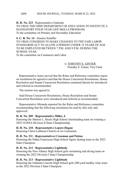**H. R. No. 223** - Representative Galonski

TO URGE THE OHIO DEPARTMENT OF EDUCATION TO INSTITUTE A MANDATORY FOUR-YEAR LIFE SKILLS PROGRAM. To the committee on Primary and Secondary Education

**S. C. R. No. 14** - Senator Schaffer TO URGE CONGRESS TO MAKE CHANGES TO THE FAIR LABOR STANDARDS ACT TO ALLOW A PERSON UNDER 16 YEARS OF AGE TO BE EMPLOYED BETWEEN 7 P.M. AND 9 P.M. DURING THE SCHOOL YEAR. To the committee on Commerce and Labor

# /s/ TIMOTHY E. GINTER Timothy E. Ginter, Vice Chair

Representative Jones moved that the Rules and Reference committee report on resolutions be agreed to and that the House Concurrent Resolutions, House Resolution and Senate Concurrent Resolution contained therein be introduced and referred as recommended.

The motion was agreed to.

Said House Concurrent Resolutions, House Resolution and Senate Concurrent Resolution were introduced and referred as recommended.

Representative Miranda reported for the Rules and Reference committee recommending that the following resolutions be read by title only and approved:

### **H. R. No. 209** - **Representative Miller, J.**

Honoring the Marion L. Steele High School cheerleading team on winning a 2022 OASSA Division II State Championship.

### **H. R. No. 210** - **Representative Lepore-Hagan**

Honoring Christ Lutheran Church on its Centennial.

### **H. R. No. 211** - **Representatives Crossman and Patton**

Honoring the Padua Franciscan High School figure skating team as the 2022 State Champion.

### **H. R. No. 212** - **Representative Lightbody**

Honoring the New Albany High School girls swimming and diving team on winning the 2022 Division I State Championship.

### **H. R. No. 213** - **Representative Lightbody**

Honoring the Gahanna Lincoln High School girls 200-yard medley relay team as the 2022 Division I State Champion.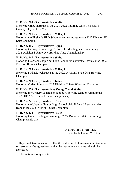# **H. R. No. 214** - **Representative White**

Honoring Grace Hartman as the 2021-2022 Gatorade Ohio Girls Cross Country Player of the Year.

# **H. R. No. 215** - **Representative Miller, J.**

Honoring the Firelands High School cheerleading team as a 2022 Division IV State Champion.

# **H. R. No. 216** - **Representative Lipps**

Honoring the Waynesville High School cheerleading team on winning the 2022 Division 4 Game-Day Building State Championship.

### **H. R. No. 217** - **Representative White**

Honoring the Archbishop Alter High School girls basketball team as the 2022 Division II State Champion.

# **H. R. No. 218** - **Representative Miller, J.**

Honoring Makayla Velasquez as the 2022 Division I State Girls Bowling Champion.

# **H. R. No. 219** - **Representative Jones**

Honoring Caden Stout as a 2022 Division II State Wrestling Champion.

# **H. R. No. 220** - **Representatives Young, T. and White**

Honoring the Centerville High School boys bowling team on winning the 2022 OHSAA Division I State Championship.

### **H. R. No. 221** - **Representative Russo**

Honoring the Upper Arlington High School girls 200-yard freestyle relay team as the 2022 Division I State Champion.

# **H. R. No. 222** - **Representative Russo**

Honoring Grant Gooding on winning a 2022 Division I State Swimming Championship title.

> /s/ TIMOTHY E. GINTER Timothy E. Ginter, Vice Chair

Representative Jones moved that the Rules and Reference committee report on resolutions be agreed to and that the resolutions contained therein be approved.

The motion was agreed to.